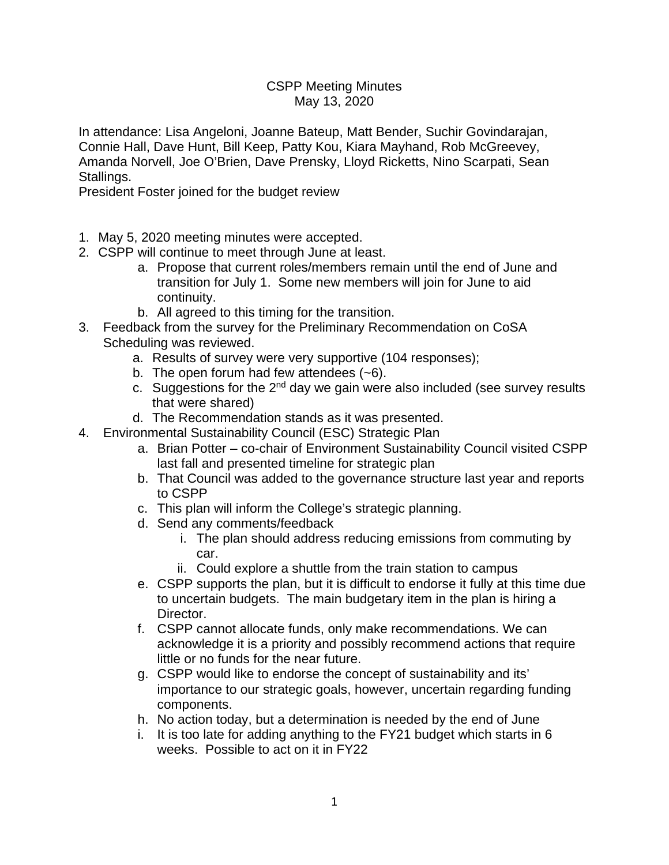## CSPP Meeting Minutes May 13, 2020

In attendance: Lisa Angeloni, Joanne Bateup, Matt Bender, Suchir Govindarajan, Connie Hall, Dave Hunt, Bill Keep, Patty Kou, Kiara Mayhand, Rob McGreevey, Amanda Norvell, Joe O'Brien, Dave Prensky, Lloyd Ricketts, Nino Scarpati, Sean Stallings.

President Foster joined for the budget review

- 1. May 5, 2020 meeting minutes were accepted.
- 2. CSPP will continue to meet through June at least.
	- a. Propose that current roles/members remain until the end of June and transition for July 1. Some new members will join for June to aid continuity.
	- b. All agreed to this timing for the transition.
- 3. Feedback from the survey for the Preliminary Recommendation on CoSA Scheduling was reviewed.
	- a. Results of survey were very supportive (104 responses);
	- b. The open forum had few attendees (~6).
	- c. Suggestions for the  $2<sup>nd</sup>$  day we gain were also included (see survey results that were shared)
	- d. The Recommendation stands as it was presented.
- 4. Environmental Sustainability Council (ESC) Strategic Plan
	- a. Brian Potter co-chair of Environment Sustainability Council visited CSPP last fall and presented timeline for strategic plan
	- b. That Council was added to the governance structure last year and reports to CSPP
	- c. This plan will inform the College's strategic planning.
	- d. Send any comments/feedback
		- i. The plan should address reducing emissions from commuting by car.
		- ii. Could explore a shuttle from the train station to campus
	- e. CSPP supports the plan, but it is difficult to endorse it fully at this time due to uncertain budgets. The main budgetary item in the plan is hiring a Director.
	- f. CSPP cannot allocate funds, only make recommendations. We can acknowledge it is a priority and possibly recommend actions that require little or no funds for the near future.
	- g. CSPP would like to endorse the concept of sustainability and its' importance to our strategic goals, however, uncertain regarding funding components.
	- h. No action today, but a determination is needed by the end of June
	- i. It is too late for adding anything to the FY21 budget which starts in 6 weeks. Possible to act on it in FY22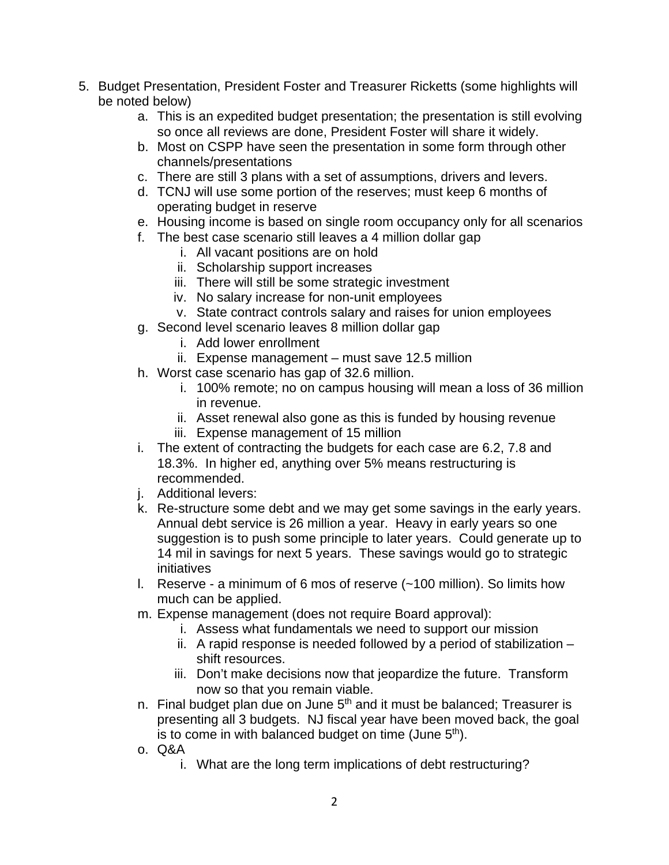- 5. Budget Presentation, President Foster and Treasurer Ricketts (some highlights will be noted below)
	- a. This is an expedited budget presentation; the presentation is still evolving so once all reviews are done, President Foster will share it widely.
	- b. Most on CSPP have seen the presentation in some form through other channels/presentations
	- c. There are still 3 plans with a set of assumptions, drivers and levers.
	- d. TCNJ will use some portion of the reserves; must keep 6 months of operating budget in reserve
	- e. Housing income is based on single room occupancy only for all scenarios
	- f. The best case scenario still leaves a 4 million dollar gap
		- i. All vacant positions are on hold
		- ii. Scholarship support increases
		- iii. There will still be some strategic investment
		- iv. No salary increase for non-unit employees
		- v. State contract controls salary and raises for union employees
	- g. Second level scenario leaves 8 million dollar gap
		- i. Add lower enrollment
		- ii. Expense management must save 12.5 million
	- h. Worst case scenario has gap of 32.6 million.
		- i. 100% remote; no on campus housing will mean a loss of 36 million in revenue.
		- ii. Asset renewal also gone as this is funded by housing revenue
		- iii. Expense management of 15 million
	- i. The extent of contracting the budgets for each case are 6.2, 7.8 and 18.3%. In higher ed, anything over 5% means restructuring is recommended.
	- j. Additional levers:
	- k. Re-structure some debt and we may get some savings in the early years. Annual debt service is 26 million a year. Heavy in early years so one suggestion is to push some principle to later years. Could generate up to 14 mil in savings for next 5 years. These savings would go to strategic initiatives
	- l. Reserve a minimum of 6 mos of reserve (~100 million). So limits how much can be applied.
	- m. Expense management (does not require Board approval):
		- i. Assess what fundamentals we need to support our mission
		- ii. A rapid response is needed followed by a period of stabilization shift resources.
		- iii. Don't make decisions now that jeopardize the future. Transform now so that you remain viable.
	- n. Final budget plan due on June  $5<sup>th</sup>$  and it must be balanced; Treasurer is presenting all 3 budgets. NJ fiscal year have been moved back, the goal is to come in with balanced budget on time (June  $5<sup>th</sup>$ ).
	- o. Q&A
		- i. What are the long term implications of debt restructuring?